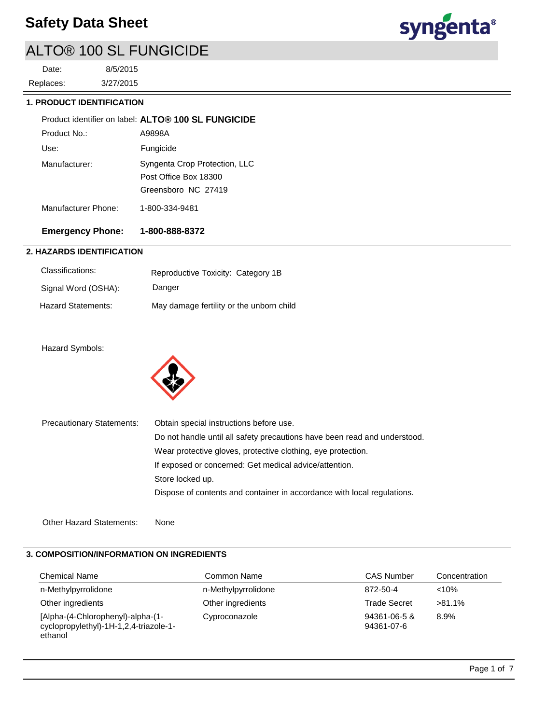

# ALTO® 100 SL FUNGICIDE

3/27/2015 8/5/2015 Replaces: Date:

### **1. PRODUCT IDENTIFICATION**

|                     | Product identifier on label: ALTO® 100 SL FUNGICIDE                           |
|---------------------|-------------------------------------------------------------------------------|
| Product No :        | A9898A                                                                        |
| Use:                | Fungicide                                                                     |
| Manufacturer:       | Syngenta Crop Protection, LLC<br>Post Office Box 18300<br>Greensboro NC 27419 |
| Manufacturer Phone: | 1-800-334-9481                                                                |
|                     |                                                                               |

## **Emergency Phone: 1-800-888-8372**

### **2. HAZARDS IDENTIFICATION**

| Classifications:    | Reproductive Toxicity: Category 1B       |
|---------------------|------------------------------------------|
| Signal Word (OSHA): | Danger                                   |
| Hazard Statements:  | May damage fertility or the unborn child |

### Hazard Symbols:



| <b>Precautionary Statements:</b> | Obtain special instructions before use.                                   |  |  |
|----------------------------------|---------------------------------------------------------------------------|--|--|
|                                  | Do not handle until all safety precautions have been read and understood. |  |  |
|                                  | Wear protective gloves, protective clothing, eye protection.              |  |  |
|                                  | If exposed or concerned: Get medical advice/attention.                    |  |  |
|                                  | Store locked up.                                                          |  |  |
|                                  | Dispose of contents and container in accordance with local regulations.   |  |  |
|                                  |                                                                           |  |  |

Other Hazard Statements: None

# **3. COMPOSITION/INFORMATION ON INGREDIENTS**

| <b>Chemical Name</b>                                                                   | Common Name         | <b>CAS Number</b>          | Concentration |
|----------------------------------------------------------------------------------------|---------------------|----------------------------|---------------|
| n-Methylpyrrolidone                                                                    | n-Methylpyrrolidone | 872-50-4                   | $< 10\%$      |
| Other ingredients                                                                      | Other ingredients   | <b>Trade Secret</b>        | $>81.1\%$     |
| [Alpha-(4-Chlorophenyl)-alpha-(1-<br>cyclopropylethyl)-1H-1,2,4-triazole-1-<br>ethanol | Cyproconazole       | 94361-06-5 &<br>94361-07-6 | 8.9%          |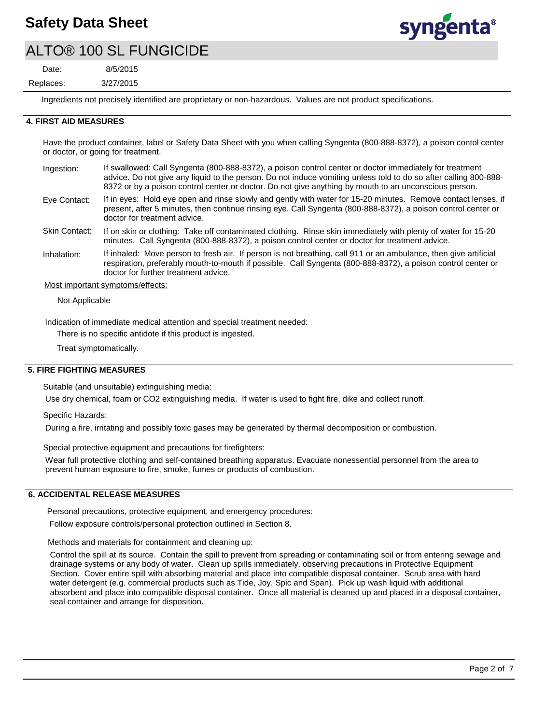

## ALTO® 100 SL FUNGICIDE

3/27/2015 8/5/2015 Replaces: Date:

Ingredients not precisely identified are proprietary or non-hazardous. Values are not product specifications.

#### **4. FIRST AID MEASURES**

Have the product container, label or Safety Data Sheet with you when calling Syngenta (800-888-8372), a poison contol center or doctor, or going for treatment.

- If swallowed: Call Syngenta (800-888-8372), a poison control center or doctor immediately for treatment advice. Do not give any liquid to the person. Do not induce vomiting unless told to do so after calling 800-888- 8372 or by a poison control center or doctor. Do not give anything by mouth to an unconscious person. Ingestion:
- If in eyes: Hold eye open and rinse slowly and gently with water for 15-20 minutes. Remove contact lenses, if present, after 5 minutes, then continue rinsing eye. Call Syngenta (800-888-8372), a poison control center or doctor for treatment advice. Eye Contact:
- If on skin or clothing: Take off contaminated clothing. Rinse skin immediately with plenty of water for 15-20 minutes. Call Syngenta (800-888-8372), a poison control center or doctor for treatment advice. Skin Contact:
- If inhaled: Move person to fresh air. If person is not breathing, call 911 or an ambulance, then give artificial respiration, preferably mouth-to-mouth if possible. Call Syngenta (800-888-8372), a poison control center or doctor for further treatment advice. Inhalation:
- Most important symptoms/effects:

Not Applicable

Indication of immediate medical attention and special treatment needed:

There is no specific antidote if this product is ingested.

Treat symptomatically.

#### **5. FIRE FIGHTING MEASURES**

Suitable (and unsuitable) extinguishing media:

Use dry chemical, foam or CO2 extinguishing media. If water is used to fight fire, dike and collect runoff.

Specific Hazards:

During a fire, irritating and possibly toxic gases may be generated by thermal decomposition or combustion.

Special protective equipment and precautions for firefighters:

Wear full protective clothing and self-contained breathing apparatus. Evacuate nonessential personnel from the area to prevent human exposure to fire, smoke, fumes or products of combustion.

#### **6. ACCIDENTAL RELEASE MEASURES**

Personal precautions, protective equipment, and emergency procedures: Follow exposure controls/personal protection outlined in Section 8.

Methods and materials for containment and cleaning up:

Control the spill at its source. Contain the spill to prevent from spreading or contaminating soil or from entering sewage and drainage systems or any body of water. Clean up spills immediately, observing precautions in Protective Equipment Section. Cover entire spill with absorbing material and place into compatible disposal container. Scrub area with hard water detergent (e.g. commercial products such as Tide, Joy, Spic and Span). Pick up wash liquid with additional absorbent and place into compatible disposal container. Once all material is cleaned up and placed in a disposal container, seal container and arrange for disposition.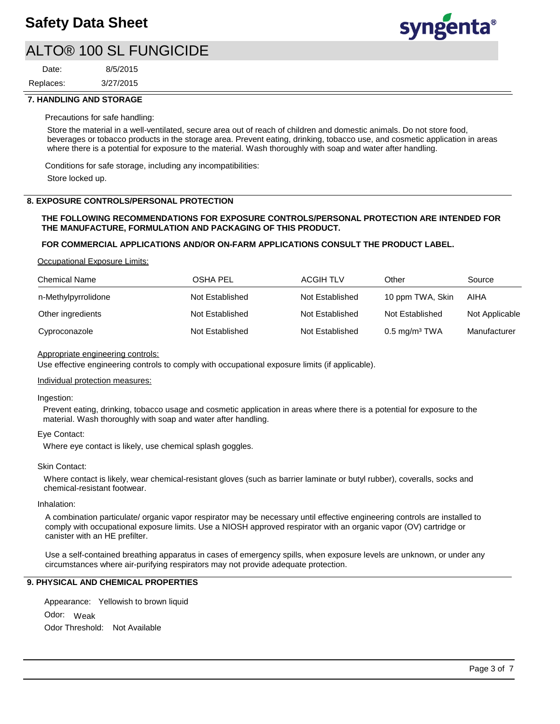

## ALTO® 100 SL FUNGICIDE

3/27/2015 8/5/2015 Replaces: Date:

#### **7. HANDLING AND STORAGE**

#### Precautions for safe handling:

Store the material in a well-ventilated, secure area out of reach of children and domestic animals. Do not store food, beverages or tobacco products in the storage area. Prevent eating, drinking, tobacco use, and cosmetic application in areas where there is a potential for exposure to the material. Wash thoroughly with soap and water after handling.

Conditions for safe storage, including any incompatibilities:

Store locked up.

#### **8. EXPOSURE CONTROLS/PERSONAL PROTECTION**

#### **THE FOLLOWING RECOMMENDATIONS FOR EXPOSURE CONTROLS/PERSONAL PROTECTION ARE INTENDED FOR THE MANUFACTURE, FORMULATION AND PACKAGING OF THIS PRODUCT.**

#### **FOR COMMERCIAL APPLICATIONS AND/OR ON-FARM APPLICATIONS CONSULT THE PRODUCT LABEL.**

Occupational Exposure Limits:

| <b>Chemical Name</b> | <b>OSHA PEL</b> | <b>ACGIH TLV</b> | Other                    | Source         |
|----------------------|-----------------|------------------|--------------------------|----------------|
| n-Methylpyrrolidone  | Not Established | Not Established  | 10 ppm TWA, Skin         | AIHA           |
| Other ingredients    | Not Established | Not Established  | Not Established          | Not Applicable |
| Cyproconazole        | Not Established | Not Established  | $0.5 \text{ mg/m}^3$ TWA | Manufacturer   |

#### Appropriate engineering controls:

Use effective engineering controls to comply with occupational exposure limits (if applicable).

#### Individual protection measures:

#### Ingestion:

Prevent eating, drinking, tobacco usage and cosmetic application in areas where there is a potential for exposure to the material. Wash thoroughly with soap and water after handling.

#### Eye Contact:

Where eye contact is likely, use chemical splash goggles.

#### Skin Contact:

Where contact is likely, wear chemical-resistant gloves (such as barrier laminate or butyl rubber), coveralls, socks and chemical-resistant footwear.

#### Inhalation:

A combination particulate/ organic vapor respirator may be necessary until effective engineering controls are installed to comply with occupational exposure limits. Use a NIOSH approved respirator with an organic vapor (OV) cartridge or canister with an HE prefilter.

Use a self-contained breathing apparatus in cases of emergency spills, when exposure levels are unknown, or under any circumstances where air-purifying respirators may not provide adequate protection.

### **9. PHYSICAL AND CHEMICAL PROPERTIES**

Odor: Weak Appearance: Yellowish to brown liquid Odor Threshold: Not Available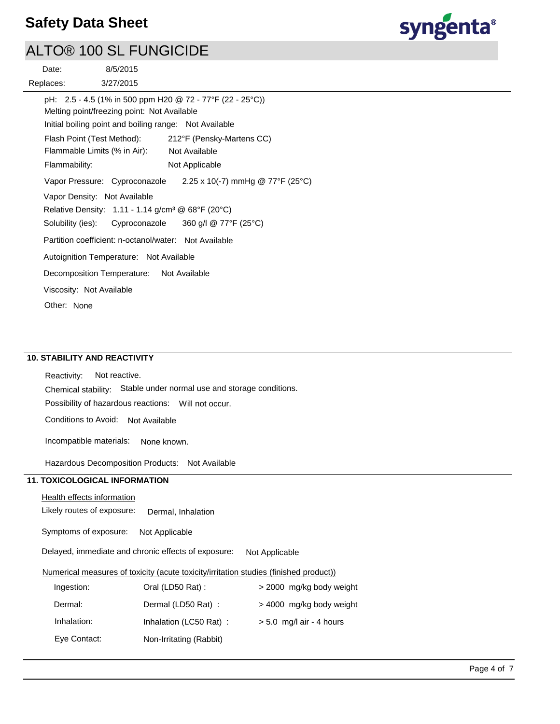

## ALTO® 100 SL FUNGICIDE

| 8/5/2015<br>Date:                                                                                                                                                  |  |                                  |  |  |  |  |
|--------------------------------------------------------------------------------------------------------------------------------------------------------------------|--|----------------------------------|--|--|--|--|
| 3/27/2015<br>Replaces:                                                                                                                                             |  |                                  |  |  |  |  |
| pH: 2.5 - 4.5 (1% in 500 ppm H20 @ 72 - 77°F (22 - 25°C))<br>Melting point/freezing point: Not Available<br>Initial boiling point and boiling range: Not Available |  |                                  |  |  |  |  |
| Flash Point (Test Method):                                                                                                                                         |  | 212°F (Pensky-Martens CC)        |  |  |  |  |
| Flammable Limits (% in Air):                                                                                                                                       |  | Not Available                    |  |  |  |  |
| Flammability:                                                                                                                                                      |  | Not Applicable                   |  |  |  |  |
| Vapor Pressure: Cyproconazole                                                                                                                                      |  | 2.25 x 10(-7) mmHg @ 77°F (25°C) |  |  |  |  |
| Vapor Density: Not Available<br>Relative Density: 1.11 - 1.14 g/cm <sup>3</sup> @ 68°F (20°C)                                                                      |  |                                  |  |  |  |  |
| Solubility (ies): Cyproconazole $360$ g/l @ 77°F (25°C)                                                                                                            |  |                                  |  |  |  |  |
| Partition coefficient: n-octanol/water: Not Available                                                                                                              |  |                                  |  |  |  |  |
| Autoignition Temperature: Not Available                                                                                                                            |  |                                  |  |  |  |  |
| Decomposition Temperature: Not Available                                                                                                                           |  |                                  |  |  |  |  |
| Viscosity: Not Available                                                                                                                                           |  |                                  |  |  |  |  |
| Other: None                                                                                                                                                        |  |                                  |  |  |  |  |

## **10. STABILITY AND REACTIVITY**

Possibility of hazardous reactions: Will not occur. Chemical stability: Stable under normal use and storage conditions. Reactivity: Not reactive. Conditions to Avoid: Not Available

Incompatible materials: None known.

Hazardous Decomposition Products: Not Available

## **11. TOXICOLOGICAL INFORMATION**

### Health effects information

Likely routes of exposure: Dermal, Inhalation

Symptoms of exposure: Not Applicable

Delayed, immediate and chronic effects of exposure: Not Applicable

### Numerical measures of toxicity (acute toxicity/irritation studies (finished product))

| Ingestion:   | Oral (LD50 Rat):        | > 2000 mg/kg body weight   |
|--------------|-------------------------|----------------------------|
| Dermal:      | Dermal (LD50 Rat):      | > 4000 mg/kg body weight   |
| Inhalation:  | Inhalation (LC50 Rat):  | $> 5.0$ mg/l air - 4 hours |
| Eye Contact: | Non-Irritating (Rabbit) |                            |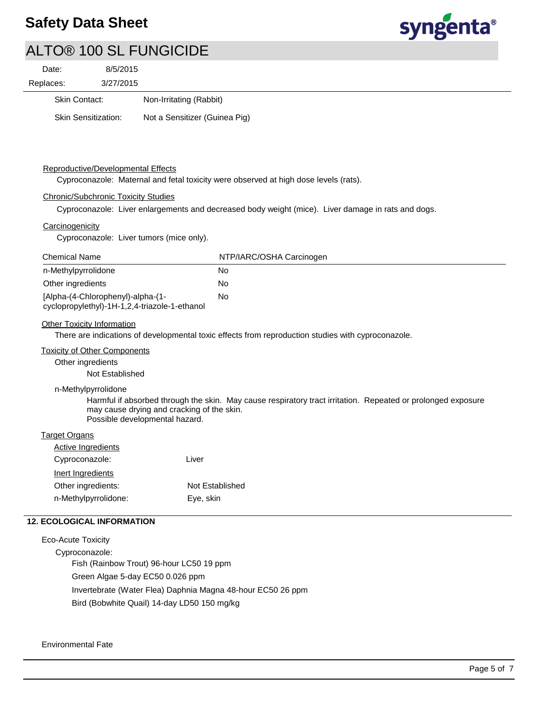

# ALTO® 100 SL FUNGICIDE

| 8/5/2015<br>Date:                                                                                            |                                                                                                    |  |  |  |  |
|--------------------------------------------------------------------------------------------------------------|----------------------------------------------------------------------------------------------------|--|--|--|--|
| 3/27/2015<br>Replaces:                                                                                       |                                                                                                    |  |  |  |  |
| Skin Contact:                                                                                                | Non-Irritating (Rabbit)                                                                            |  |  |  |  |
| <b>Skin Sensitization:</b>                                                                                   | Not a Sensitizer (Guinea Pig)                                                                      |  |  |  |  |
|                                                                                                              |                                                                                                    |  |  |  |  |
|                                                                                                              |                                                                                                    |  |  |  |  |
| Reproductive/Developmental Effects                                                                           |                                                                                                    |  |  |  |  |
|                                                                                                              | Cyproconazole: Maternal and fetal toxicity were observed at high dose levels (rats).               |  |  |  |  |
| <b>Chronic/Subchronic Toxicity Studies</b>                                                                   |                                                                                                    |  |  |  |  |
|                                                                                                              | Cyproconazole: Liver enlargements and decreased body weight (mice). Liver damage in rats and dogs. |  |  |  |  |
| Carcinogenicity                                                                                              |                                                                                                    |  |  |  |  |
|                                                                                                              | Cyproconazole: Liver tumors (mice only).                                                           |  |  |  |  |
| <b>Chemical Name</b>                                                                                         | NTP/IARC/OSHA Carcinogen                                                                           |  |  |  |  |
| n-Methylpyrrolidone                                                                                          | No                                                                                                 |  |  |  |  |
| Other ingredients                                                                                            | No                                                                                                 |  |  |  |  |
| [Alpha-(4-Chlorophenyl)-alpha-(1-                                                                            | No                                                                                                 |  |  |  |  |
|                                                                                                              | cyclopropylethyl)-1H-1,2,4-triazole-1-ethanol                                                      |  |  |  |  |
| <b>Other Toxicity Information</b>                                                                            |                                                                                                    |  |  |  |  |
|                                                                                                              | There are indications of developmental toxic effects from reproduction studies with cyproconazole. |  |  |  |  |
| <b>Toxicity of Other Components</b>                                                                          |                                                                                                    |  |  |  |  |
| Other ingredients<br>Not Established                                                                         |                                                                                                    |  |  |  |  |
| n-Methylpyrrolidone                                                                                          |                                                                                                    |  |  |  |  |
| Harmful if absorbed through the skin. May cause respiratory tract irritation. Repeated or prolonged exposure |                                                                                                    |  |  |  |  |
| may cause drying and cracking of the skin.                                                                   |                                                                                                    |  |  |  |  |
|                                                                                                              | Possible developmental hazard.                                                                     |  |  |  |  |
| <b>Target Organs</b>                                                                                         |                                                                                                    |  |  |  |  |
| <b>Active Ingredients</b>                                                                                    |                                                                                                    |  |  |  |  |
| Cyproconazole:                                                                                               | Liver                                                                                              |  |  |  |  |
| Inert Ingredients                                                                                            |                                                                                                    |  |  |  |  |
| Other ingredients:                                                                                           | Not Established                                                                                    |  |  |  |  |
| n-Methylpyrrolidone:                                                                                         | Eye, skin                                                                                          |  |  |  |  |
| <b>12. ECOLOGICAL INFORMATION</b>                                                                            |                                                                                                    |  |  |  |  |
| <b>Eco-Acute Toxicity</b>                                                                                    |                                                                                                    |  |  |  |  |

Cyproconazole: Fish (Rainbow Trout) 96-hour LC50 19 ppm Green Algae 5-day EC50 0.026 ppm Invertebrate (Water Flea) Daphnia Magna 48-hour EC50 26 ppm Bird (Bobwhite Quail) 14-day LD50 150 mg/kg

### Environmental Fate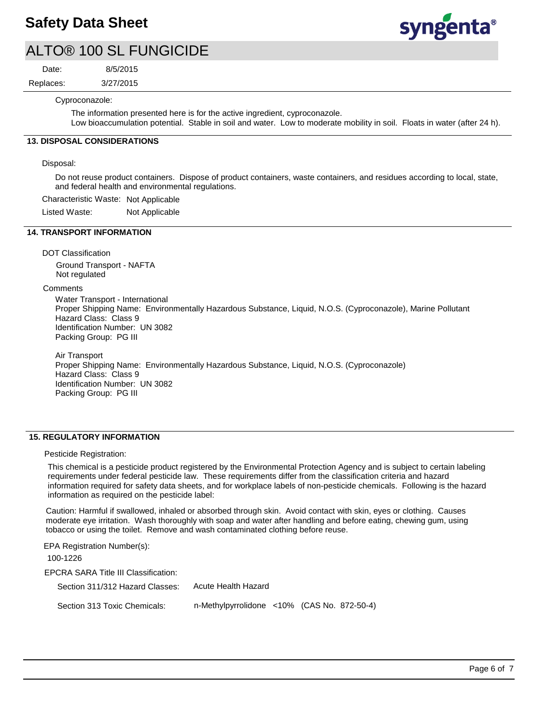

## ALTO® 100 SL FUNGICIDE

Date:

8/5/2015

3/27/2015 Replaces:  $rac{6}{5}$ 

Cyproconazole:

The information presented here is for the active ingredient, cyproconazole. Low bioaccumulation potential. Stable in soil and water. Low to moderate mobility in soil. Floats in water (after 24 h).

## **13. DISPOSAL CONSIDERATIONS**

Disposal:

Do not reuse product containers. Dispose of product containers, waste containers, and residues according to local, state, and federal health and environmental regulations.

Characteristic Waste: Not Applicable

Listed Waste: Not Applicable

## **14. TRANSPORT INFORMATION**

DOT Classification Ground Transport - NAFTA Not regulated

**Comments** 

Water Transport - International Proper Shipping Name: Environmentally Hazardous Substance, Liquid, N.O.S. (Cyproconazole), Marine Pollutant Hazard Class: Class 9 Identification Number: UN 3082 Packing Group: PG III

Air Transport Proper Shipping Name: Environmentally Hazardous Substance, Liquid, N.O.S. (Cyproconazole) Hazard Class: Class 9 Identification Number: UN 3082 Packing Group: PG III

#### **15. REGULATORY INFORMATION**

Pesticide Registration:

This chemical is a pesticide product registered by the Environmental Protection Agency and is subject to certain labeling requirements under federal pesticide law. These requirements differ from the classification criteria and hazard information required for safety data sheets, and for workplace labels of non-pesticide chemicals. Following is the hazard information as required on the pesticide label:

Caution: Harmful if swallowed, inhaled or absorbed through skin. Avoid contact with skin, eyes or clothing. Causes moderate eye irritation. Wash thoroughly with soap and water after handling and before eating, chewing gum, using tobacco or using the toilet. Remove and wash contaminated clothing before reuse.

EPCRA SARA Title III Classification: Section 311/312 Hazard Classes: Section 313 Toxic Chemicals: EPA Registration Number(s): 100-1226 Acute Health Hazard n-Methylpyrrolidone <10% (CAS No. 872-50-4)